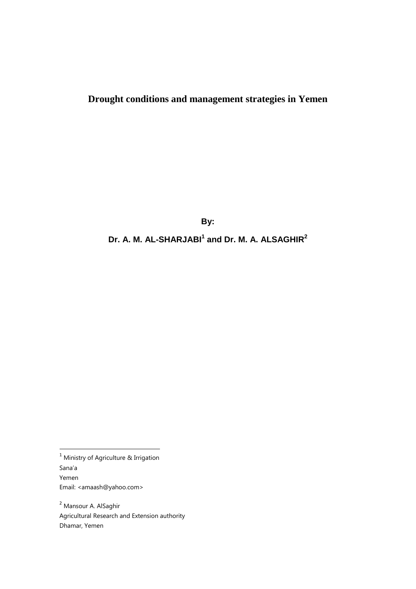# **Drought conditions and management strategies in Yemen**

**By:**

**Dr. A. M. AL-SHARJABI<sup>1</sup> and Dr. M. A. ALSAGHIR<sup>2</sup>**

 $<sup>1</sup>$  Ministry of Agriculture & Irrigation</sup> Sana'a Yemen Email: <amaash@yahoo.com>

**.** 

<sup>2</sup> Mansour A. AlSaghir Agricultural Research and Extension authority Dhamar, Yemen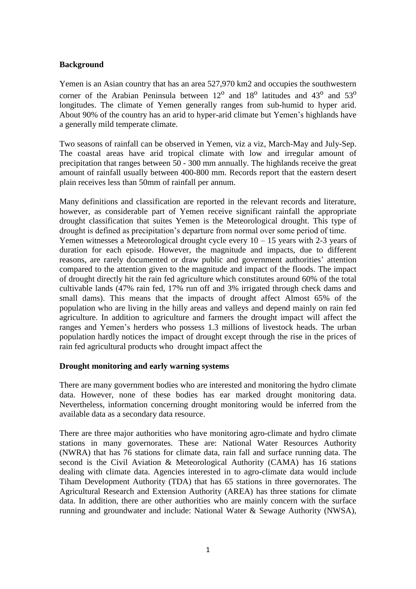# **Background**

Yemen is an Asian country that has an area 527,970 km2 and occupies the southwestern corner of the Arabian Peninsula between  $12^{\circ}$  and  $18^{\circ}$  latitudes and  $43^{\circ}$  and  $53^{\circ}$ longitudes. The climate of Yemen generally ranges from sub-humid to hyper arid. About 90% of the country has an arid to hyper-arid climate but Yemen's highlands have a generally mild temperate climate.

Two seasons of rainfall can be observed in Yemen, viz a viz, March-May and July-Sep. The coastal areas have arid tropical climate with low and irregular amount of precipitation that ranges between 50 - 300 mm annually. The highlands receive the great amount of rainfall usually between 400-800 mm. Records report that the eastern desert plain receives less than 50mm of rainfall per annum.

Many definitions and classification are reported in the relevant records and literature, however, as considerable part of Yemen receive significant rainfall the appropriate drought classification that suites Yemen is the Meteorological drought. This type of drought is defined as precipitation's departure from normal over some period of time. Yemen witnesses a Meteorological drought cycle every  $10 - 15$  years with 2-3 years of duration for each episode. However, the magnitude and impacts, due to different reasons, are rarely documented or draw public and government authorities' attention compared to the attention given to the magnitude and impact of the floods. The impact of drought directly hit the rain fed agriculture which constitutes around 60% of the total cultivable lands (47% rain fed, 17% run off and 3% irrigated through check dams and small dams). This means that the impacts of drought affect Almost 65% of the population who are living in the hilly areas and valleys and depend mainly on rain fed agriculture. In addition to agriculture and farmers the drought impact will affect the ranges and Yemen's herders who possess 1.3 millions of livestock heads. The urban population hardly notices the impact of drought except through the rise in the prices of rain fed agricultural products who drought impact affect the

### **Drought monitoring and early warning systems**

There are many government bodies who are interested and monitoring the hydro climate data. However, none of these bodies has ear marked drought monitoring data. Nevertheless, information concerning drought monitoring would be inferred from the available data as a secondary data resource.

There are three major authorities who have monitoring agro-climate and hydro climate stations in many governorates. These are: National Water Resources Authority (NWRA) that has 76 stations for climate data, rain fall and surface running data. The second is the Civil Aviation & Meteorological Authority (CAMA) has 16 stations dealing with climate data. Agencies interested in to agro-climate data would include Tiham Development Authority (TDA) that has 65 stations in three governorates. The Agricultural Research and Extension Authority (AREA) has three stations for climate data. In addition, there are other authorities who are mainly concern with the surface running and groundwater and include: National Water & Sewage Authority (NWSA),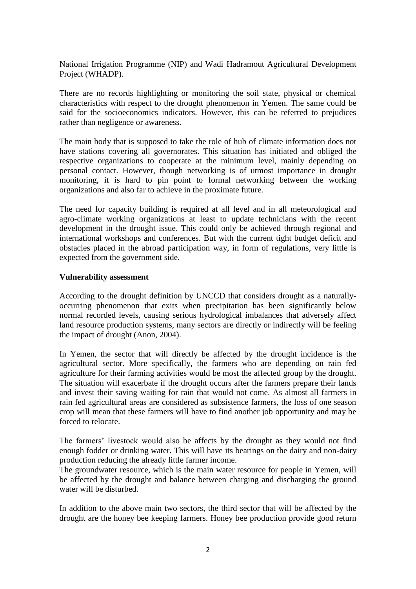National Irrigation Programme (NIP) and Wadi Hadramout Agricultural Development Project (WHADP).

There are no records highlighting or monitoring the soil state, physical or chemical characteristics with respect to the drought phenomenon in Yemen. The same could be said for the socioeconomics indicators. However, this can be referred to prejudices rather than negligence or awareness.

The main body that is supposed to take the role of hub of climate information does not have stations covering all governorates. This situation has initiated and obliged the respective organizations to cooperate at the minimum level, mainly depending on personal contact. However, though networking is of utmost importance in drought monitoring, it is hard to pin point to formal networking between the working organizations and also far to achieve in the proximate future.

The need for capacity building is required at all level and in all meteorological and agro-climate working organizations at least to update technicians with the recent development in the drought issue. This could only be achieved through regional and international workshops and conferences. But with the current tight budget deficit and obstacles placed in the abroad participation way, in form of regulations, very little is expected from the government side.

## **Vulnerability assessment**

According to the drought definition by UNCCD that considers drought as a naturallyoccurring phenomenon that exits when precipitation has been significantly below normal recorded levels, causing serious hydrological imbalances that adversely affect land resource production systems, many sectors are directly or indirectly will be feeling the impact of drought (Anon, 2004).

In Yemen, the sector that will directly be affected by the drought incidence is the agricultural sector. More specifically, the farmers who are depending on rain fed agriculture for their farming activities would be most the affected group by the drought. The situation will exacerbate if the drought occurs after the farmers prepare their lands and invest their saving waiting for rain that would not come. As almost all farmers in rain fed agricultural areas are considered as subsistence farmers, the loss of one season crop will mean that these farmers will have to find another job opportunity and may be forced to relocate.

The farmers' livestock would also be affects by the drought as they would not find enough fodder or drinking water. This will have its bearings on the dairy and non-dairy production reducing the already little farmer income.

The groundwater resource, which is the main water resource for people in Yemen, will be affected by the drought and balance between charging and discharging the ground water will be disturbed.

In addition to the above main two sectors, the third sector that will be affected by the drought are the honey bee keeping farmers. Honey bee production provide good return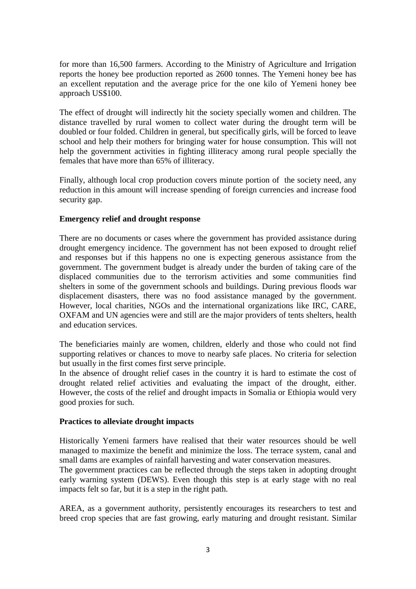for more than 16,500 farmers. According to the Ministry of Agriculture and Irrigation reports the honey bee production reported as 2600 tonnes. The Yemeni honey bee has an excellent reputation and the average price for the one kilo of Yemeni honey bee approach US\$100.

The effect of drought will indirectly hit the society specially women and children. The distance travelled by rural women to collect water during the drought term will be doubled or four folded. Children in general, but specifically girls, will be forced to leave school and help their mothers for bringing water for house consumption. This will not help the government activities in fighting illiteracy among rural people specially the females that have more than 65% of illiteracy.

Finally, although local crop production covers minute portion of the society need, any reduction in this amount will increase spending of foreign currencies and increase food security gap.

## **Emergency relief and drought response**

There are no documents or cases where the government has provided assistance during drought emergency incidence. The government has not been exposed to drought relief and responses but if this happens no one is expecting generous assistance from the government. The government budget is already under the burden of taking care of the displaced communities due to the terrorism activities and some communities find shelters in some of the government schools and buildings. During previous floods war displacement disasters, there was no food assistance managed by the government. However, local charities, NGOs and the international organizations like IRC, CARE, OXFAM and UN agencies were and still are the major providers of tents shelters, health and education services.

The beneficiaries mainly are women, children, elderly and those who could not find supporting relatives or chances to move to nearby safe places. No criteria for selection but usually in the first comes first serve principle.

In the absence of drought relief cases in the country it is hard to estimate the cost of drought related relief activities and evaluating the impact of the drought, either. However, the costs of the relief and drought impacts in Somalia or Ethiopia would very good proxies for such.

### **Practices to alleviate drought impacts**

Historically Yemeni farmers have realised that their water resources should be well managed to maximize the benefit and minimize the loss. The terrace system, canal and small dams are examples of rainfall harvesting and water conservation measures.

The government practices can be reflected through the steps taken in adopting drought early warning system (DEWS). Even though this step is at early stage with no real impacts felt so far, but it is a step in the right path.

AREA, as a government authority, persistently encourages its researchers to test and breed crop species that are fast growing, early maturing and drought resistant. Similar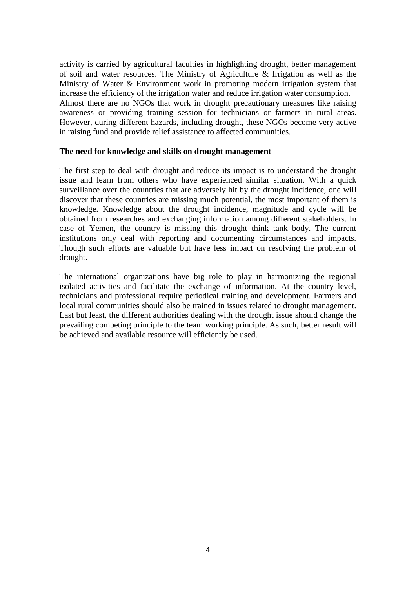activity is carried by agricultural faculties in highlighting drought, better management of soil and water resources. The Ministry of Agriculture & Irrigation as well as the Ministry of Water & Environment work in promoting modern irrigation system that increase the efficiency of the irrigation water and reduce irrigation water consumption. Almost there are no NGOs that work in drought precautionary measures like raising awareness or providing training session for technicians or farmers in rural areas. However, during different hazards, including drought, these NGOs become very active in raising fund and provide relief assistance to affected communities.

#### **The need for knowledge and skills on drought management**

The first step to deal with drought and reduce its impact is to understand the drought issue and learn from others who have experienced similar situation. With a quick surveillance over the countries that are adversely hit by the drought incidence, one will discover that these countries are missing much potential, the most important of them is knowledge. Knowledge about the drought incidence, magnitude and cycle will be obtained from researches and exchanging information among different stakeholders. In case of Yemen, the country is missing this drought think tank body. The current institutions only deal with reporting and documenting circumstances and impacts. Though such efforts are valuable but have less impact on resolving the problem of drought.

The international organizations have big role to play in harmonizing the regional isolated activities and facilitate the exchange of information. At the country level, technicians and professional require periodical training and development. Farmers and local rural communities should also be trained in issues related to drought management. Last but least, the different authorities dealing with the drought issue should change the prevailing competing principle to the team working principle. As such, better result will be achieved and available resource will efficiently be used.